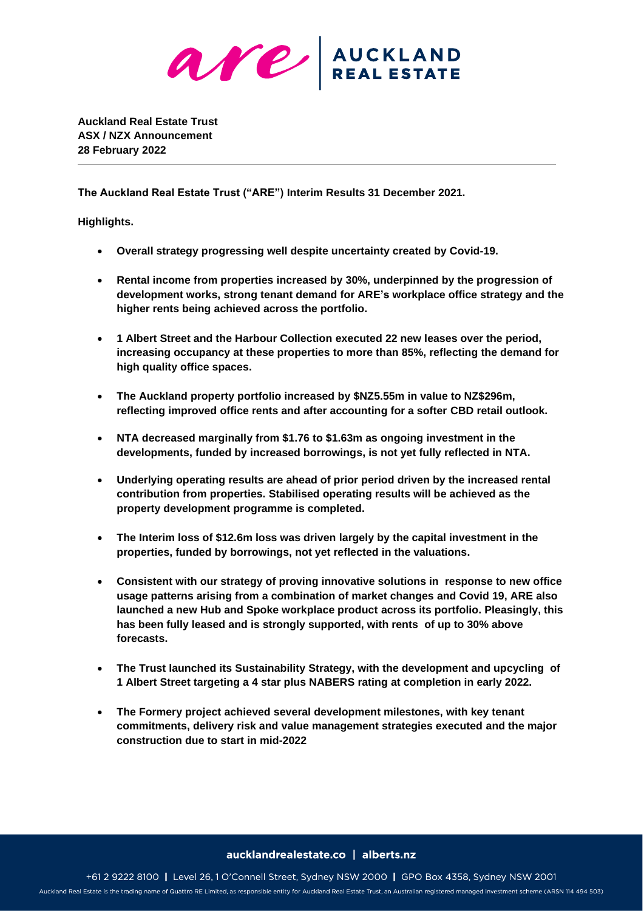

**Auckland Real Estate Trust ASX / NZX Announcement 28 February 2022**

**The Auckland Real Estate Trust ("ARE") Interim Results 31 December 2021.**

**Highlights.**

- **Overall strategy progressing well despite uncertainty created by Covid-19.**
- **Rental income from properties increased by 30%, underpinned by the progression of development works, strong tenant demand for ARE's workplace office strategy and the higher rents being achieved across the portfolio.**
- **1 Albert Street and the Harbour Collection executed 22 new leases over the period, increasing occupancy at these properties to more than 85%, reflecting the demand for high quality office spaces.**
- **The Auckland property portfolio increased by \$NZ5.55m in value to NZ\$296m, reflecting improved office rents and after accounting for a softer CBD retail outlook.**
- **NTA decreased marginally from \$1.76 to \$1.63m as ongoing investment in the developments, funded by increased borrowings, is not yet fully reflected in NTA.**
- **Underlying operating results are ahead of prior period driven by the increased rental contribution from properties. Stabilised operating results will be achieved as the property development programme is completed.**
- **The Interim loss of \$12.6m loss was driven largely by the capital investment in the properties, funded by borrowings, not yet reflected in the valuations.**
- **Consistent with our strategy of proving innovative solutions in response to new office usage patterns arising from a combination of market changes and Covid 19, ARE also launched a new Hub and Spoke workplace product across its portfolio. Pleasingly, this has been fully leased and is strongly supported, with rents of up to 30% above forecasts.**
- **The Trust launched its Sustainability Strategy, with the development and upcycling of 1 Albert Street targeting a 4 star plus NABERS rating at completion in early 2022.**
- **The Formery project achieved several development milestones, with key tenant commitments, delivery risk and value management strategies executed and the major construction due to start in mid-2022**

### aucklandrealestate.co | alberts.nz

+61 2 9222 8100 | Level 26, 1 O'Connell Street, Sydney NSW 2000 | GPO Box 4358, Sydney NSW 2001 Auckland Real Estate is the trading name of Quattro RE Limited, as responsible entity for Auckland Real Estate Trust, an Australian registered managed investment scheme (ARSN 114 494 503)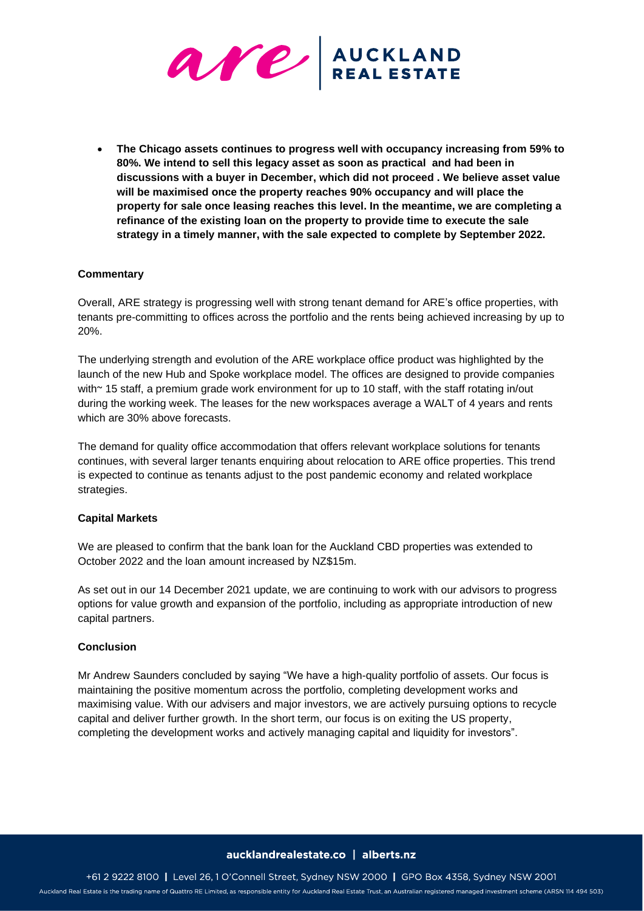

• **The Chicago assets continues to progress well with occupancy increasing from 59% to 80%. We intend to sell this legacy asset as soon as practical and had been in discussions with a buyer in December, which did not proceed . We believe asset value will be maximised once the property reaches 90% occupancy and will place the property for sale once leasing reaches this level. In the meantime, we are completing a refinance of the existing loan on the property to provide time to execute the sale strategy in a timely manner, with the sale expected to complete by September 2022.** 

# **Commentary**

Overall, ARE strategy is progressing well with strong tenant demand for ARE's office properties, with tenants pre-committing to offices across the portfolio and the rents being achieved increasing by up to 20%.

The underlying strength and evolution of the ARE workplace office product was highlighted by the launch of the new Hub and Spoke workplace model. The offices are designed to provide companies with~ 15 staff, a premium grade work environment for up to 10 staff, with the staff rotating in/out during the working week. The leases for the new workspaces average a WALT of 4 years and rents which are 30% above forecasts.

The demand for quality office accommodation that offers relevant workplace solutions for tenants continues, with several larger tenants enquiring about relocation to ARE office properties. This trend is expected to continue as tenants adjust to the post pandemic economy and related workplace strategies.

## **Capital Markets**

We are pleased to confirm that the bank loan for the Auckland CBD properties was extended to October 2022 and the loan amount increased by NZ\$15m.

As set out in our 14 December 2021 update, we are continuing to work with our advisors to progress options for value growth and expansion of the portfolio, including as appropriate introduction of new capital partners.

## **Conclusion**

Mr Andrew Saunders concluded by saying "We have a high-quality portfolio of assets. Our focus is maintaining the positive momentum across the portfolio, completing development works and maximising value. With our advisers and major investors, we are actively pursuing options to recycle capital and deliver further growth. In the short term, our focus is on exiting the US property, completing the development works and actively managing capital and liquidity for investors".

#### aucklandrealestate.co | alberts.nz

+61 2 9222 8100 | Level 26, 1 O'Connell Street, Sydney NSW 2000 | GPO Box 4358, Sydney NSW 2001 Auckland Real Estate is the trading name of Quattro RE Limited, as responsible entity for Auckland Real Estate Trust, an Australian registered managed investment scheme (ARSN 114 494 503)